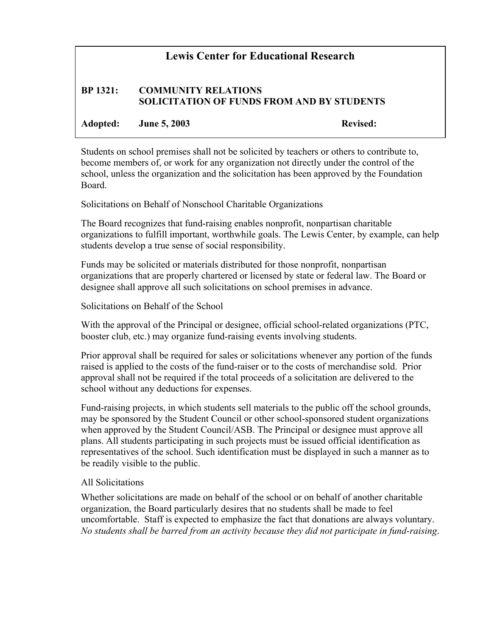## **Lewis Center for Educational Research**

## **BP 1321: COMMUNITY RELATIONS SOLICITATION OF FUNDS FROM AND BY STUDENTS**

**Adopted: June 5, 2003 Revised:**

Students on school premises shall not be solicited by teachers or others to contribute to, become members of, or work for any organization not directly under the control of the school, unless the organization and the solicitation has been approved by the Foundation Board.

Solicitations on Behalf of Nonschool Charitable Organizations

The Board recognizes that fund-raising enables nonprofit, nonpartisan charitable organizations to fulfill important, worthwhile goals. The Lewis Center, by example, can help students develop a true sense of social responsibility.

Funds may be solicited or materials distributed for those nonprofit, nonpartisan organizations that are properly chartered or licensed by state or federal law. The Board or designee shall approve all such solicitations on school premises in advance.

Solicitations on Behalf of the School

With the approval of the Principal or designee, official school-related organizations (PTC, booster club, etc.) may organize fund-raising events involving students.

Prior approval shall be required for sales or solicitations whenever any portion of the funds raised is applied to the costs of the fund-raiser or to the costs of merchandise sold. Prior approval shall not be required if the total proceeds of a solicitation are delivered to the school without any deductions for expenses.

Fund-raising projects, in which students sell materials to the public off the school grounds, may be sponsored by the Student Council or other school-sponsored student organizations when approved by the Student Council/ASB. The Principal or designee must approve all plans. All students participating in such projects must be issued official identification as representatives of the school. Such identification must be displayed in such a manner as to be readily visible to the public.

## All Solicitations

Whether solicitations are made on behalf of the school or on behalf of another charitable organization, the Board particularly desires that no students shall be made to feel uncomfortable. Staff is expected to emphasize the fact that donations are always voluntary. *No students shall be barred from an activity because they did not participate in fund-raising*.